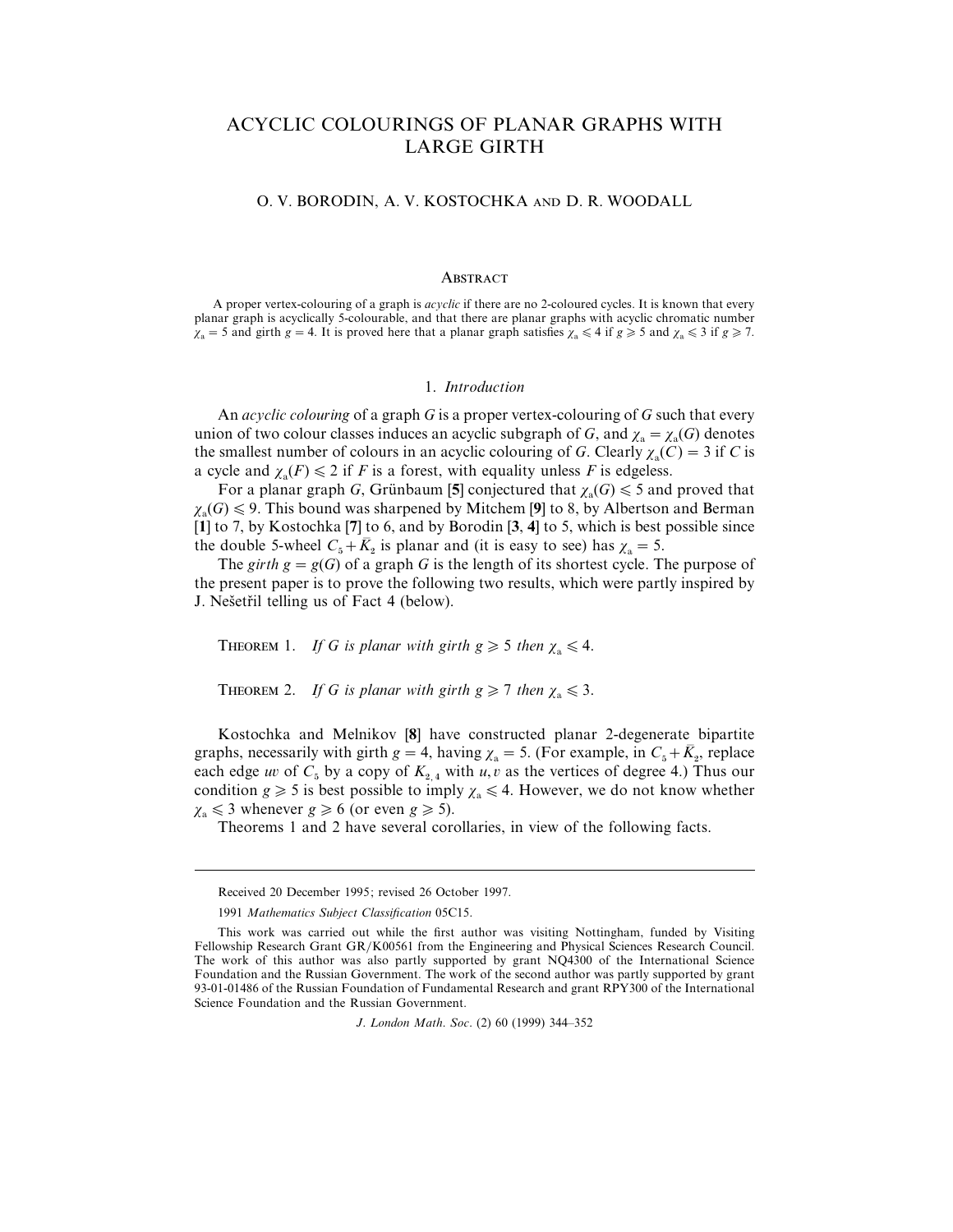# ACYCLIC COLOURINGS OF PLANAR GRAPHS WITH LARGE GIRTH

O. V. BORODIN, A. V. KOSTOCHKA AND D. R. WOODALL

#### ABSTRACT

A proper vertex-colouring of a graph is *acyclic* if there are no 2-coloured cycles. It is known that every planar graph is acyclically 5-colourable, and that there are planar graphs with acyclic chromatic number  $\chi_a = 5$  and girth  $g = 4$ . It is proved here that a planar graph satisfies  $\chi_a \leq 4$  if  $g \geq 5$  and  $\chi_a \leq 3$  if  $g \geq 7$ .

## 1. *Introduction*

An *acyclic colouring* of a graph *G* is a proper vertex-colouring of *G* such that every union of two colour classes induces an acyclic subgraph of *G*, and  $\chi_a = \chi_a(G)$  denotes the smallest number of colours in an acyclic colouring of *G*. Clearly  $\chi_a(C) = 3$  if *C* is a cycle and  $\chi_a(F) \leq 2$  if *F* is a forest, with equality unless *F* is edgeless.

For a planar graph *G*, Grünbaum [5] conjectured that  $\chi_a(G) \le 5$  and proved that  $\chi_{\rm a}(G) \leq 9$ . This bound was sharpened by Mitchem [9] to 8, by Albertson and Berman [**1**] to 7, by Kostochka [**7**] to 6, and by Borodin [**3**, **4**] to 5, which is best possible since the double 5-wheel  $C_5 + \overline{K}_2$  is planar and (it is easy to see) has  $\chi_a = 5$ .

The *girth*  $g = g(G)$  of a graph *G* is the length of its shortest cycle. The purpose of the present paper is to prove the following two results, which were partly inspired by J. Nešetřil telling us of Fact 4 (below).

THEOREM 1. *If G is planar with girth g*  $\geq 5$  *then*  $\chi_a \leq 4$ .

THEOREM 2. *If G is planar with girth g* $\geq 7$  *then*  $\chi_a \leq 3$ .

Kostochka and Melnikov [**8**] have constructed planar 2-degenerate bipartite graphs, necessarily with girth  $g = 4$ , having  $\chi_a = 5$ . (For example, in  $C_5 + \overline{K}_2$ , replace each edge *uv* of  $C_5$  by a copy of  $K_{2,4}$  with *u*, *v* as the vertices of degree 4.) Thus our condition *g*  $\ge$  5 is best possible to imply  $\chi$ <sub>a</sub>  $\le$  4. However, we do not know whether  $\chi_a \leq 3$  whenever  $g \geq 6$  (or even  $g \geq 5$ ).

Theorems 1 and 2 have several corollaries, in view of the following facts.

Received 20 December 1995; revised 26 October 1997.

<sup>1991</sup> *Mathematics Subject Classification* 05C15.

This work was carried out while the first author was visiting Nottingham, funded by Visiting Fellowship Research Grant GR/K00561 from the Engineering and Physical Sciences Research Council. The work of this author was also partly supported by grant NQ4300 of the International Science Foundation and the Russian Government. The work of the second author was partly supported by grant 93-01-01486 of the Russian Foundation of Fundamental Research and grant RPY300 of the International Science Foundation and the Russian Government.

*J*. *London Math*. *Soc*. (2) 60 (1999) 344–352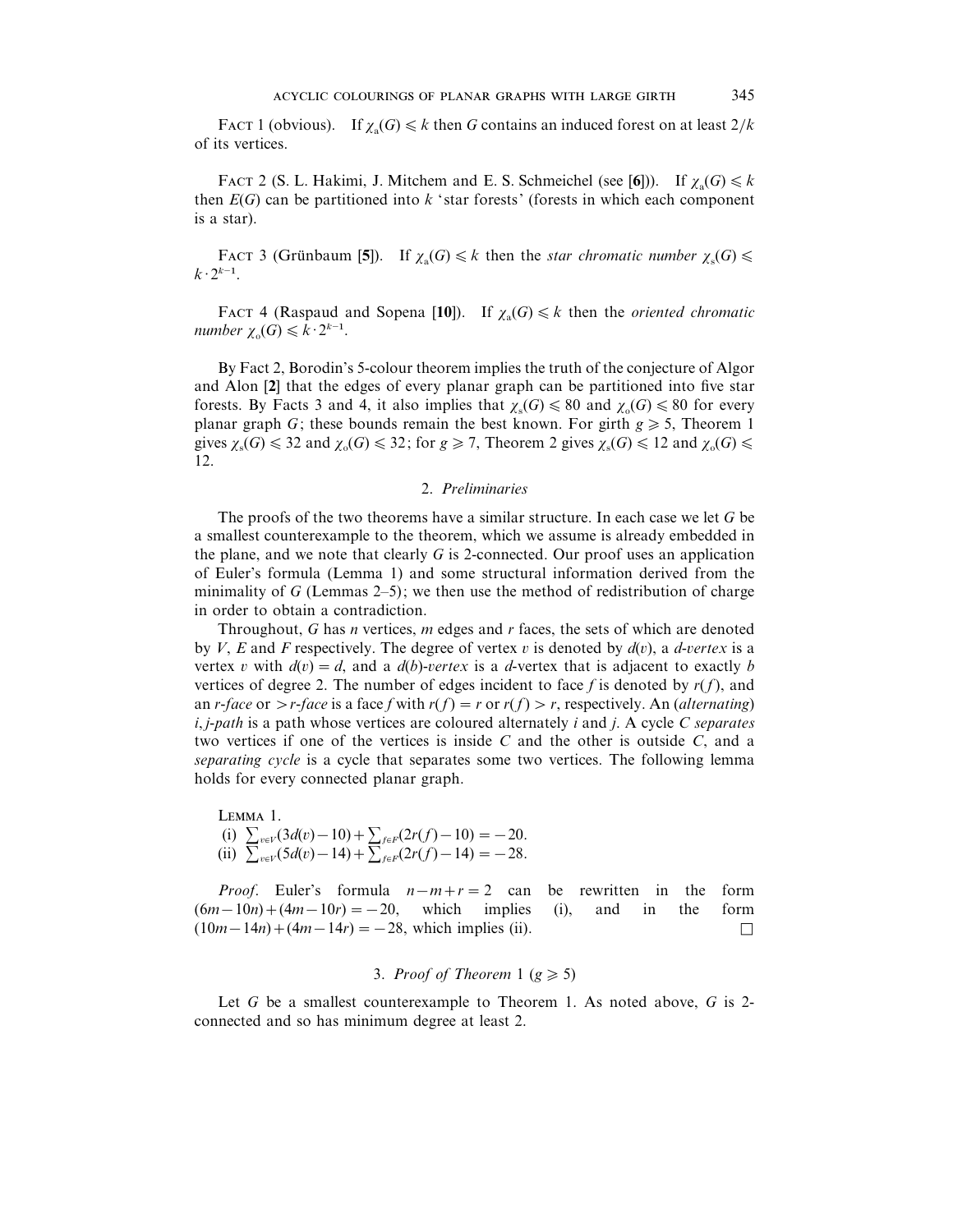FACT 1 (obvious). If  $\chi_a(G) \le k$  then *G* contains an induced forest on at least  $2/k$ of its vertices.

FACT 2 (S. L. Hakimi, J. Mitchem and E. S. Schmeichel (see [6])). If  $\chi_a(G) \le k$ then  $E(G)$  can be partitioned into  $k$  'star forests' (forests in which each component is a star).

FACT 3 (Grünbaum [5]). If  $\chi_a(G) \leq k$  then the *star chromatic number*  $\chi_s(G) \leq k$  $k \cdot 2^{k-1}$ .

FACT 4 (Raspaud and Sopena [10]). If  $\chi_a(G) \le k$  then the *oriented chromatic*  $\text{r}_1 \times \text{r}_2 \times \text{r}_3 \times \text{r}_4 \times \text{r}_5 \times \text{r}_6 \times \text{r}_2 \times \text{r}_2 \times \text{r}_3$ .

By Fact 2, Borodin's 5-colour theorem implies the truth of the conjecture of Algor and Alon [**2**] that the edges of every planar graph can be partitioned into five star forests. By Facts 3 and 4, it also implies that  $\chi_s(G) \leq 80$  and  $\chi_o(G) \leq 80$  for every planar graph *G*; these bounds remain the best known. For girth  $g \ge 5$ , Theorem 1 gives  $\chi_s(G) \leq 32$  and  $\chi_o(G) \leq 32$ ; for  $g \geq 7$ , Theorem 2 gives  $\chi_s(G) \leq 12$  and  $\chi_o(G) \leq$ 12.

# 2. *Preliminaries*

The proofs of the two theorems have a similar structure. In each case we let *G* be a smallest counterexample to the theorem, which we assume is already embedded in the plane, and we note that clearly *G* is 2-connected. Our proof uses an application of Euler's formula (Lemma 1) and some structural information derived from the minimality of  $G$  (Lemmas 2–5); we then use the method of redistribution of charge in order to obtain a contradiction.

Throughout, *G* has *n* vertices, *m* edges and *r* faces, the sets of which are denoted by *V*, *E* and *F* respectively. The degree of vertex v is denoted by  $d(v)$ , a *d-vertex* is a vertex v with  $d(v) = d$ , and a  $d(b)$ -vertex is a *d*-vertex that is adjacent to exactly *b* vertices of degree 2. The number of edges incident to face f is denoted by  $r(f)$ , and an *r*-*face* or  $\ge$  *r*-*face* is a face *f* with *r*(*f*) = *r* or *r*(*f*)  $\ge$  *r*, respectively. An (*alternating*) *i*, *j*-*path* is a path whose vertices are coloured alternately *i* and *j*. A cycle *C separates* two vertices if one of the vertices is inside *C* and the other is outside *C*, and a *separating cycle* is a cycle that separates some two vertices. The following lemma holds for every connected planar graph.

 $LEMMA$  1. (i)  $\sum_{v \in V} (3d(v) - 10) + \sum_{f \in F} (2r(f) - 10) = -20.$ (ii)  $\sum_{v \in V} (5d(v) - 14) + \sum_{f \in F} (2r(f) - 14) = -28.$ 

*Proof.* Euler's formula  $n-m+r=2$  can be rewritten in the form  $(6m-10n)+(4m-10r)=-20$ , which implies (i), and in the form  $(10m - 14n) + (4m - 14r) = -28$ , which implies (ii).

# 3. *Proof of Theorem* 1 ( $g \ge 5$ )

Let *G* be a smallest counterexample to Theorem 1. As noted above, *G* is 2 connected and so has minimum degree at least 2.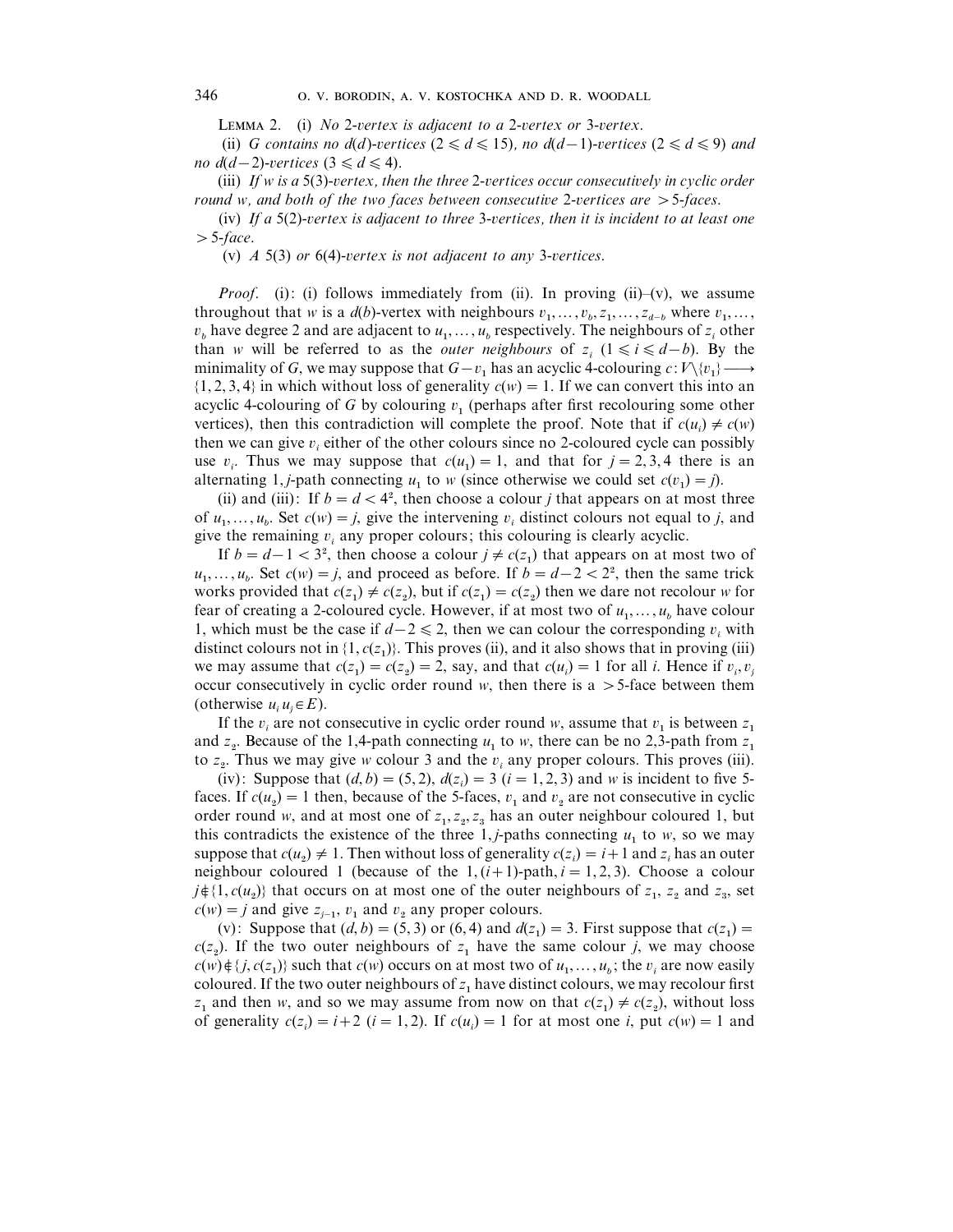L 2. (i) *No* 2-*ertex is adjacent to a* 2-*ertex or* 3-*ertex*.

(ii) *G* contains no  $d(d)$ -vertices ( $2 \le d \le 15$ ), no  $d(d-1)$ -vertices ( $2 \le d \le 9$ ) and *no*  $d(d-2)$ *-vertices*  $(3 \le d \le 4)$ .

(iii) *If w is a* 5(3)-*ertex, then the three* 2-*ertices occur consecutiely in cyclic order round w, and both of the two faces between consecutie* 2-*ertices are* "5-*faces*.

(iv) *If a* 5(2)-*ertex is adjacent to three* 3-*ertices, then it is incident to at least one*  $> 5$ -*face*.

(v) *A* 5(3) *or* 6(4)-*ertex is not adjacent to any* 3-*ertices*.

*Proof.* (i): (i) follows immediately from (ii). In proving (ii)–(v), we assume throughout that *w* is a *d*(*b*)-vertex with neighbours  $v_1, \ldots, v_b, z_1, \ldots, z_{d-b}$  where  $v_1, \ldots, v_b$  $v_b$  have degree 2 and are adjacent to  $u_1, \ldots, u_b$  respectively. The neighbours of  $z_i$  other than *w* will be referred to as the *outer neighbours* of  $z_i$  ( $1 \le i \le d-b$ ). By the minimality of *G*, we may suppose that  $G - v_1$  has an acyclic 4-colouring  $c: V \setminus \{v_1\} \longrightarrow$  $\{1, 2, 3, 4\}$  in which without loss of generality  $c(w) = 1$ . If we can convert this into an acyclic 4-colouring of  $G$  by colouring  $v_1$  (perhaps after first recolouring some other vertices), then this contradiction will complete the proof. Note that if  $c(u_i) \neq c(w)$ then we can give  $v_i$  either of the other colours since no 2-coloured cycle can possibly use  $v_i$ . Thus we may suppose that  $c(u_1) = 1$ , and that for  $j = 2, 3, 4$  there is an alternating 1, *j*-path connecting  $u_1$  to *w* (since otherwise we could set  $c(v_1) = j$ ).

(ii) and (iii): If  $b = d < 4^2$ , then choose a colour *j* that appears on at most three of  $u_1, \ldots, u_b$ . Set  $c(w) = j$ , give the intervening  $v_i$  distinct colours not equal to *j*, and give the remaining  $v_i$  any proper colours; this colouring is clearly acyclic.

If  $b = d - 1 < 3^2$ , then choose a colour  $j \neq c(z_1)$  that appears on at most two of  $u_1, ..., u_b$ . Set  $c(w) = j$ , and proceed as before. If  $b = d-2 < 2^2$ , then the same trick works provided that  $c(z_1) \neq c(z_2)$ , but if  $c(z_1) = c(z_2)$  then we dare not recolour *w* for fear of creating a 2-coloured cycle. However, if at most two of  $u_1, \ldots, u_b$  have colour 1, which must be the case if  $d-2 \le 2$ , then we can colour the corresponding  $v_i$  with distinct colours not in  $\{1, c(z_1)\}$ . This proves (ii), and it also shows that in proving (iii) we may assume that  $c(z_1) = c(z_2) = 2$ , say, and that  $c(u_i) = 1$  for all *i*. Hence if  $v_i, v_j$ occur consecutively in cyclic order round  $w$ , then there is a  $>$  5-face between them (otherwise  $u_i u_j \in E$ ).

If the  $v_i$  are not consecutive in cyclic order round *w*, assume that  $v_1$  is between  $z_1$ and  $z_2$ . Because of the 1,4-path connecting  $u_1$  to *w*, there can be no 2,3-path from  $z_1$ to  $z_2$ . Thus we may give *w* colour 3 and the  $v_i$  any proper colours. This proves (iii).

(iv): Suppose that  $(d, b) = (5, 2), d(z_i) = 3$  ( $i = 1, 2, 3$ ) and *w* is incident to five 5faces. If  $c(u_2) = 1$  then, because of the 5-faces,  $v_1$  and  $v_2$  are not consecutive in cyclic order round *w*, and at most one of  $z_1, z_2, z_3$  has an outer neighbour coloured 1, but this contradicts the existence of the three  $1, j$ -paths connecting  $u_1$  to  $w$ , so we may suppose that  $c(u_2) \neq 1$ . Then without loss of generality  $c(z_i) = i+1$  and  $z_i$  has an outer neighbour coloured 1 (because of the  $1, (i+1)$ -path,  $i = 1, 2, 3$ ). Choose a colour  $j \notin \{1, c(u_2)\}\$  that occurs on at most one of the outer neighbours of  $z_1$ ,  $z_2$  and  $z_3$ , set  $c(w) = j$  and give  $z_{j-1}$ ,  $v_1$  and  $v_2$  any proper colours.

(v): Suppose that  $(d, b) = (5, 3)$  or  $(6, 4)$  and  $d(z_1) = 3$ . First suppose that  $c(z_1) =$  $c(z_2)$ . If the two outer neighbours of  $z_1$  have the same colour *j*, we may choose  $c(w) \notin \{j, c(z_1)\}$  such that  $c(w)$  occurs on at most two of  $u_1, \ldots, u_b$ ; the  $v_i$  are now easily coloured. If the two outer neighbours of  $z_1$  have distinct colours, we may recolour first *z*<sub>1</sub> and then *w*, and so we may assume from now on that  $c(z_1) \neq c(z_2)$ , without loss of generality  $c(z_i) = i + 2$  ( $i = 1, 2$ ). If  $c(u_i) = 1$  for at most one *i*, put  $c(w) = 1$  and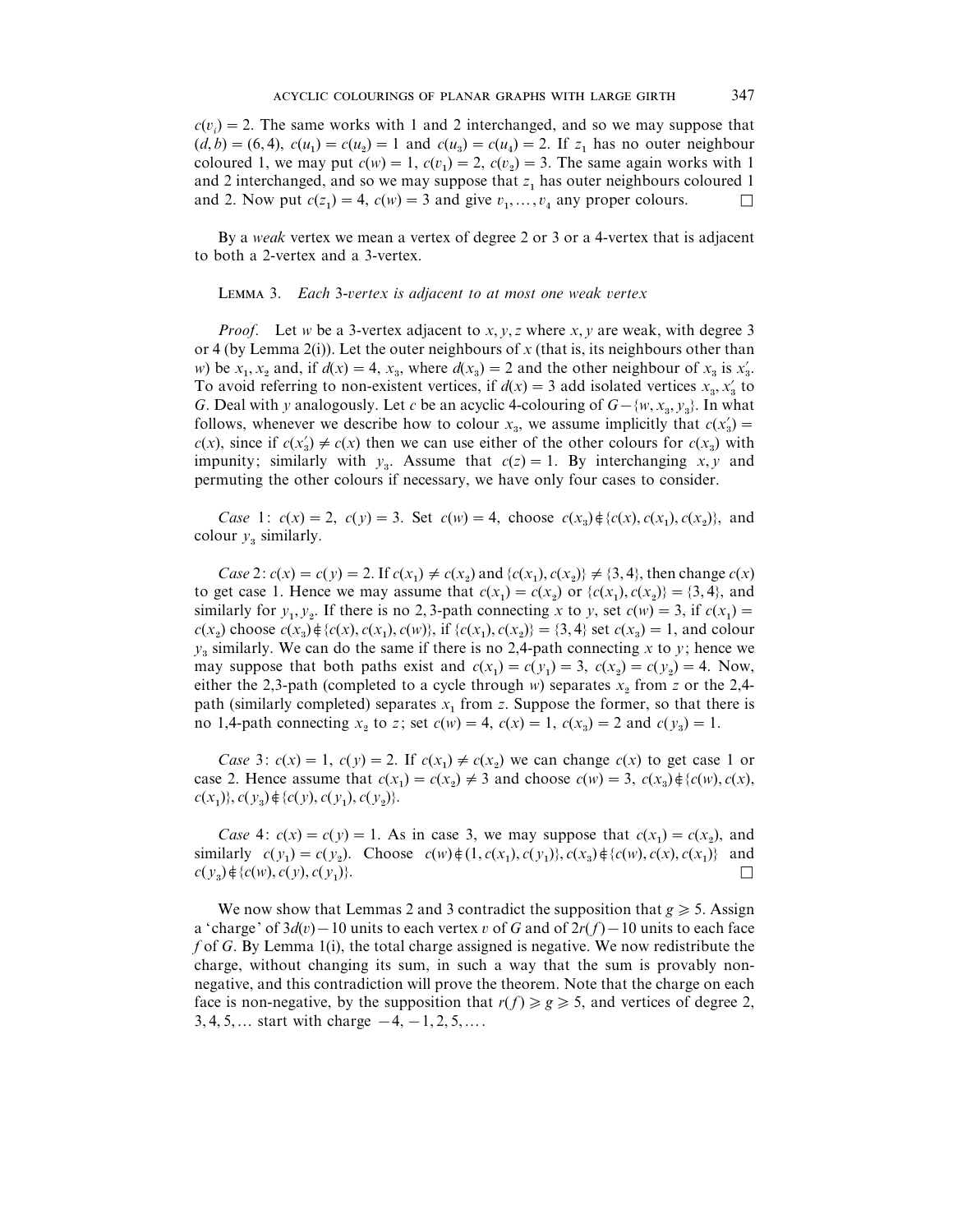$c(v_i) = 2$ . The same works with 1 and 2 interchanged, and so we may suppose that  $(d, b) = (6, 4), c(u_1) = c(u_2) = 1$  and  $c(u_3) = c(u_4) = 2$ . If  $z_1$  has no outer neighbour coloured 1, we may put  $c(w) = 1$ ,  $c(v_1) = 2$ ,  $c(v_2) = 3$ . The same again works with 1 and 2 interchanged, and so we may suppose that  $z_1$  has outer neighbours coloured 1 and 2. Now put  $c(z_1) = 4$ ,  $c(w) = 3$  and give  $v_1, \ldots, v_4$  any proper colours.

By a *weak* vertex we mean a vertex of degree 2 or 3 or a 4-vertex that is adjacent to both a 2-vertex and a 3-vertex.

#### **LEMMA 3.** *Each* 3-*vertex is adjacent to at most one weak vertex*

*Proof*. Let *w* be a 3-vertex adjacent to *x*, *y*, *z* where *x*, *y* are weak, with degree 3 or 4 (by Lemma 2(i)). Let the outer neighbours of *x* (that is, its neighbours other than or 4 (by Lemma 2(i)). Let the outer neighbours of *x* (that is, its neighbours other than *w*) be  $x_1, x_2$  and, if  $d(x) = 4, x_3$ , where  $d(x_3) = 2$  and the other neighbour of  $x_3$  is  $x'_3$ . w) be  $x_1, x_2$  and, if  $d(x) = 4$ ,  $x_3$ , where  $d(x_3) = 2$  and the other neighbour of  $x_3$  is  $x'_3$ .<br>To avoid referring to non-existent vertices, if  $d(x) = 3$  add isolated vertices  $x_3, x'_3$  to *G*. Deal with *y* analogously. Let *c* be an acyclic 4-colouring of  $G - \{w, x_3, y_3\}$ . In what *G*. Deal with *y* analogously. Let *c* be an acyclic 4-colouring of  $G - \{w, x_3, y_3\}$ . In what follows, whenever we describe how to colour  $x_3$ , we assume implicitly that  $c(x'_3)$  = *c*(*x*), since if  $c(x_3) \neq c(x)$  then we can use either of the other colours for  $c(x_3)$  with impunity; similarly with  $y_3$ . Assume that  $c(z) = 1$ . By interchanging *x*, *y* and permuting the other colours if necessary, we have only four cases to consider.

*Case* 1:  $c(x) = 2$ ,  $c(y) = 3$ . Set  $c(w) = 4$ , choose  $c(x_3) \notin \{c(x), c(x_1), c(x_2)\}$ , and colour  $y_3$  similarly.

*Case* 2:  $c(x) = c(y) = 2$ . If  $c(x_1) \neq c(x_2)$  and  $\{c(x_1), c(x_2)\}\neq \{3, 4\}$ , then change  $c(x)$ to get case 1. Hence we may assume that  $c(x_1) = c(x_2)$  or  $\{c(x_1), c(x_2)\} = \{3, 4\}$ , and similarly for  $y_1, y_2$ . If there is no 2, 3-path connecting *x* to *y*, set  $c(w) = 3$ , if  $c(x_1) =$  $c(x_2)$  choose  $c(x_3) \notin \{c(x), c(x_1), c(w)\},$  if  $\{c(x_1), c(x_2)\} = \{3, 4\}$  set  $c(x_3) = 1$ , and colour  $y_3$  similarly. We can do the same if there is no 2,4-path connecting *x* to *y*; hence we may suppose that both paths exist and  $c(x_1) = c(y_1) = 3$ ,  $c(x_2) = c(y_2) = 4$ . Now, either the 2,3-path (completed to a cycle through *w*) separates  $x_2$  from *z* or the 2,4path (similarly completed) separates  $x_1$  from  $z$ . Suppose the former, so that there is no 1,4-path connecting  $x_2$  to *z*; set  $c(w) = 4$ ,  $c(x) = 1$ ,  $c(x_3) = 2$  and  $c(y_3) = 1$ .

*Case* 3:  $c(x) = 1$ ,  $c(y) = 2$ . If  $c(x_1) \neq c(x_2)$  we can change  $c(x)$  to get case 1 or case 2. Hence assume that  $c(x_1) = c(x_2) \neq 3$  and choose  $c(w) = 3$ ,  $c(x_3) \notin \{c(w), c(x), c(w)\}$  $c(x_1)$ ,  $c(y_3) \notin \{c(y), c(y_1), c(y_2)\}.$ 

*Case* 4:  $c(x) = c(y) = 1$ . As in case 3, we may suppose that  $c(x_1) = c(x_2)$ , and similarly  $c(y_1) = c(y_2)$ . Choose  $c(w) \notin \{1, c(x_1), c(y_1)\}, c(x_3) \notin \{c(w), c(x), c(x_1)\}$  and  $c(y_3) \notin \{c(w), c(y), c(y_1)\}$ )}.  $\Box$ 

We now show that Lemmas 2 and 3 contradict the supposition that  $g \geq 5$ . Assign a 'charge' of  $3d(v) - 10$  units to each vertex v of *G* and of  $2r(f) - 10$  units to each face *f* of *G*. By Lemma 1(i), the total charge assigned is negative. We now redistribute the charge, without changing its sum, in such a way that the sum is provably nonnegative, and this contradiction will prove the theorem. Note that the charge on each face is non-negative, by the supposition that  $r(f) \ge g \ge 5$ , and vertices of degree 2,  $3, 4, 5, \ldots$  start with charge  $-4, -1, 2, 5, \ldots$ .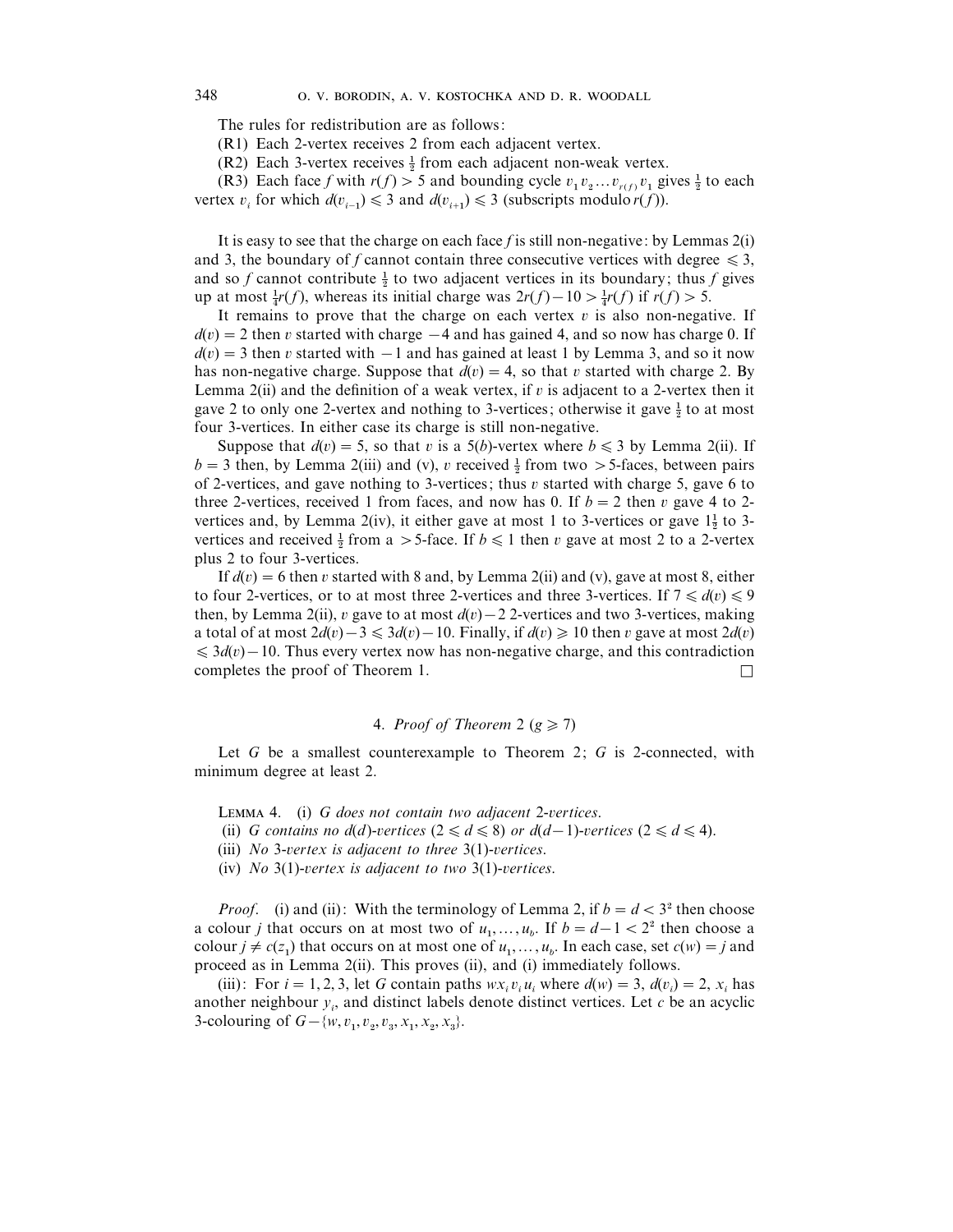The rules for redistribution are as follows:

(R1) Each 2-vertex receives 2 from each adjacent vertex.

(R1) Each 3-vertex receives 2 from each adjacent vertex.<br>(R2) Each 3-vertex receives  $\frac{1}{2}$  from each adjacent non-weak vertex.

(R2) Each 5-vertex receives  $\frac{1}{2}$  from each adjacent non-weak vertex.<br>
(R3) Each face *f* with  $r(f) > 5$  and bounding cycle  $v_1 v_2 ... v_{r(f)} v_1$  gives  $\frac{1}{2}$  to each vertex  $v_i$  for which  $d(v_{i-1}) \leq 3$  and  $d(v_{i+1}) \leq 3$  (subscripts modulo  $r(f)$ ).

It is easy to see that the charge on each face *f* is still non-negative: by Lemmas 2(i) and 3, the boundary of *f* cannot contain three consecutive vertices with degree  $\leq 3$ , and s, the boundary of *f* cannot contribute  $\frac{1}{2}$  to two adjacent vertices in its boundary; thus *f* gives and so *f* cannot contribute  $\frac{1}{2}$  to two adjacent vertices in its boundary; thus  $\frac{1}{2}$  up at most  $\frac{1}{4}r(f)$ , whereas its initial charge was  $2r(f) - 10 > \frac{1}{4}r(f)$  if  $r(f) > 5$ .

It remains to prove that the charge on each vertex  $v$  is also non-negative. If  $d(v) = 2$  then v started with charge  $-4$  and has gained 4, and so now has charge 0. If  $d(v) = 3$  then v started with  $-1$  and has gained at least 1 by Lemma 3, and so it now has non-negative charge. Suppose that  $d(v) = 4$ , so that v started with charge 2. By Lemma 2(ii) and the definition of a weak vertex, if  $v$  is adjacent to a 2-vertex then it Lemma  $2(n)$  and the demintion of a weak vertex, if v is adjacent to a 2-vertex then it gave 2 to only one 2-vertex and nothing to 3-vertices; otherwise it gave  $\frac{1}{2}$  to at most four 3-vertices. In either case its charge is still non-negative.

Suppose that  $d(v) = 5$ , so that v is a 5(b)-vertex where  $b \le 3$  by Lemma 2(ii). If suppose that  $a(v) = 3$ , so that v is a  $3(v)$ -vertex where  $v \le 3$  by Lemma 2(ii). If  $b = 3$  then, by Lemma 2(iii) and (v), v received  $\frac{1}{2}$  from two > 5-faces, between pairs of 2-vertices, and gave nothing to 3-vertices; thus  $v$  started with charge 5, gave 6 to three 2-vertices, received 1 from faces, and now has 0. If  $b=2$  then v gave 4 to 2three 2-vertices, received 1 from faces, and now has 0. If  $b = 2$  then v gave 4 to 2-vertices and, by Lemma 2(iv), it either gave at most 1 to 3-vertices or gave  $1\frac{1}{2}$  to 3vertices and, by Lemma  $2(w)$ , it either gave at most 1 to 5-vertices of gave  $1\frac{1}{2}$  to 5-vertices and received  $\frac{1}{2}$  from a  $>$  5-face. If  $b \le 1$  then v gave at most 2 to a 2-vertex plus 2 to four 3-vertices.

If  $d(v) = 6$  then v started with 8 and, by Lemma 2(ii) and (v), gave at most 8, either to four 2-vertices, or to at most three 2-vertices and three 3-vertices. If  $7 \leq d(v) \leq 9$ then, by Lemma 2(ii), v gave to at most  $d(v) - 2$  2-vertices and two 3-vertices, making a total of at most  $2d(v) - 3 \le 3d(v) - 10$ . Finally, if  $d(v) \ge 10$  then v gave at most  $2d(v)$  $\leq 3d(v) - 10$ . Thus every vertex now has non-negative charge, and this contradiction completes the proof of Theorem 1.  $\Box$ 

### 4. *Proof of Theorem* 2 ( $g \ge 7$ )

Let *G* be a smallest counterexample to Theorem 2; *G* is 2-connected, with minimum degree at least 2.

LEMMA 4. (i) *G does not contain two adjacent* 2-*vertices*.

(ii) *G* contains no  $d(d)$ -vertices  $(2 \le d \le 8)$  or  $d(d-1)$ -vertices  $(2 \le d \le 4)$ .

(iii) *No* 3-*ertex is adjacent to three* 3(1)-*ertices*.

(iv) *No* 3(1)-*ertex is adjacent to two* 3(1)-*ertices*.

*Proof.* (i) and (ii): With the terminology of Lemma 2, if  $b = d < 3<sup>2</sup>$  then choose *a* colour *j* that occurs on at most two of  $u_1, ..., u_b$ . If  $b = d - 1 < 2^2$  then choose a colour *j* that occurs on at most two of  $u_1, ..., u_b$ . If  $b = d - 1 < 2^2$  then choose a colour  $j \neq c(z_1)$  that occurs on at most one of  $u_1, \ldots, u_b$ . In each case, set  $c(w) = j$  and proceed as in Lemma 2(ii). This proves (ii), and (i) immediately follows.

(iii): For  $i = 1, 2, 3$ , let *G* contain paths  $wx_i v_i u_i$  where  $d(w) = 3$ ,  $d(v_i) = 2$ ,  $x_i$  has another neighbour  $y_i$ , and distinct labels denote distinct vertices. Let  $c$  be an acyclic 3-colouring of  $G - \{w, v_1, v_2, v_3, x_1, x_2, x_3\}.$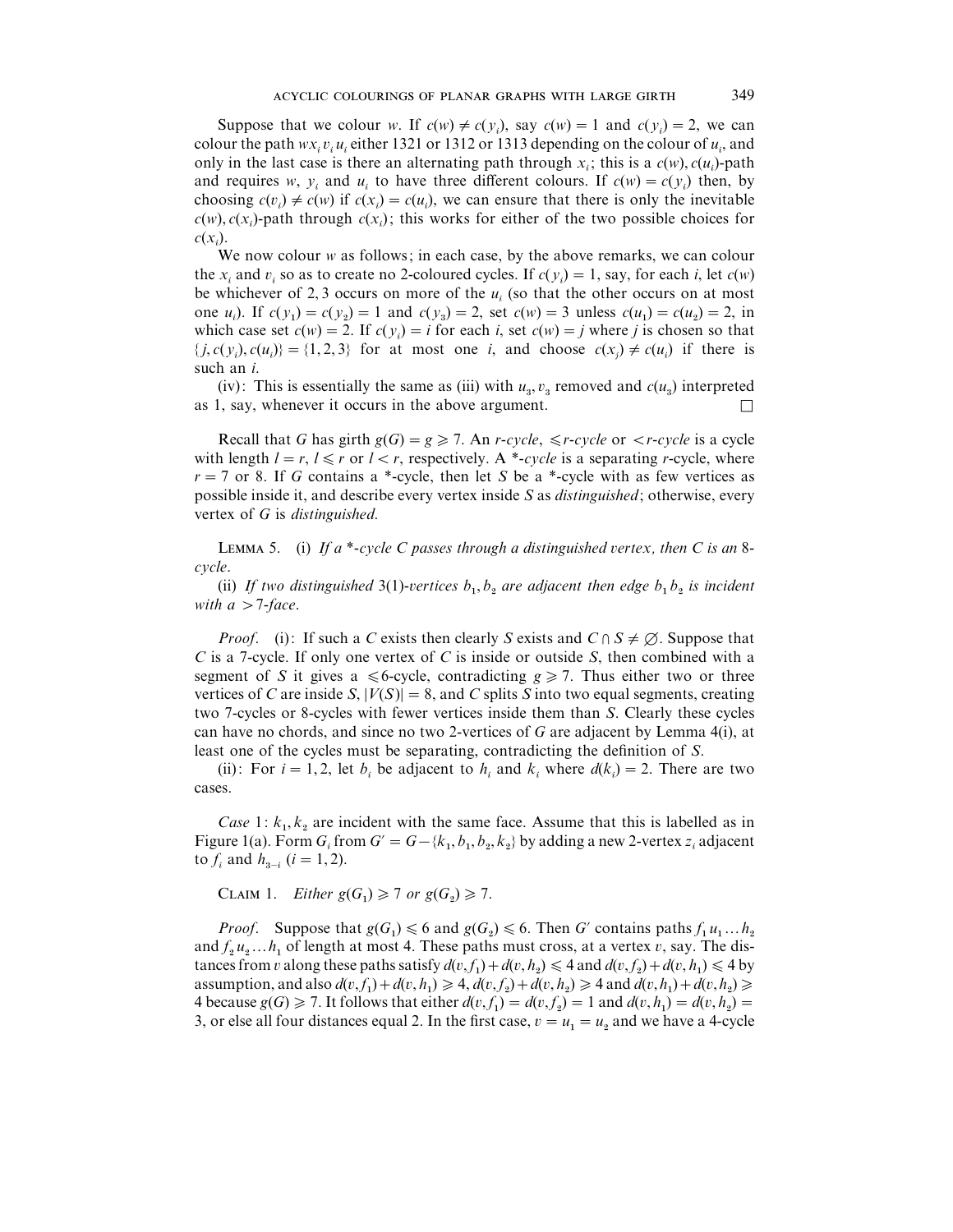Suppose that we colour *w*. If  $c(w) \neq c(y_i)$ , say  $c(w) = 1$  and  $c(y_i) = 2$ , we can colour the path  $wx_i v_i u_i$  either 1321 or 1312 or 1313 depending on the colour of  $u_i$ , and only in the last case is there an alternating path through  $x_i$ ; this is a  $c(w)$ ,  $c(u_i)$ -path and requires *w*,  $y_i$  and  $u_i$  to have three different colours. If  $c(w) = c(y_i)$  then, by choosing  $c(v_i) \neq c(w)$  if  $c(x_i) = c(u_i)$ , we can ensure that there is only the inevitable  $c(w)$ ,  $c(x_i)$ -path through  $c(x_i)$ ; this works for either of the two possible choices for *c*(*x<sup>i</sup>* ).

We now colour *w* as follows; in each case, by the above remarks, we can colour the *x<sub>i</sub>* and *v<sub>i</sub>* so as to create no 2-coloured cycles. If  $c(y_i) = 1$ , say, for each *i*, let  $c(w)$ be whichever of 2,3 occurs on more of the  $u_i$  (so that the other occurs on at most one *u<sub>i</sub>*). If  $c(y_1) = c(y_2) = 1$  and  $c(y_3) = 2$ , set  $c(w) = 3$  unless  $c(u_1) = c(u_2) = 2$ , in which case set  $c(w) = 2$ . If  $c(y_i) = i$  for each *i*, set  $c(w) = j$  where *j* is chosen so that  $\{j, c(y_i), c(u_i)\} = \{1, 2, 3\}$  for at most one *i*, and choose  $c(x_j) \neq c(u_i)$  if there is such an *i*.

(iv): This is essentially the same as (iii) with  $u_3$ ,  $v_3$  removed and  $c(u_3)$  interpreted as 1, say, whenever it occurs in the above argument.  $\Box$ 

Recall that *G* has girth  $g(G) = g \ge 7$ . An *r*-*cycle*,  $\le r$ *-cycle* or  $\le r$ *-cycle* is a cycle with length  $l = r$ ,  $l \le r$  or  $l < r$ , respectively. A \*-*cycle* is a separating *r*-cycle, where  $r = 7$  or 8. If *G* contains a \*-cycle, then let *S* be a \*-cycle with as few vertices as possible inside it, and describe every vertex inside *S* as *distinguished*; otherwise, every vertex of *G* is *distinguished*.

LEMMA 5. (i) If a \*-cycle C passes through a distinguished vertex, then C is an 8*cycle*.

(ii) If two distinguished 3(1)-vertices  $b_1, b_2$  are adjacent then edge  $b_1b_2$  is incident *with*  $a > 7$ *-face.* 

*Proof.* (i): If such a *C* exists then clearly *S* exists and  $C \cap S \neq \emptyset$ . Suppose that *C* is a 7-cycle. If only one vertex of *C* is inside or outside *S*, then combined with a segment of *S* it gives a  $\leq 6$ -cycle, contradicting  $g \geq 7$ . Thus either two or three vertices of *C* are inside *S*,  $|V(S)| = 8$ , and *C* splits *S* into two equal segments, creating two 7-cycles or 8-cycles with fewer vertices inside them than *S*. Clearly these cycles can have no chords, and since no two 2-vertices of *G* are adjacent by Lemma 4(i), at least one of the cycles must be separating, contradicting the definition of *S*.

(ii): For  $i = 1, 2$ , let  $b_i$  be adjacent to  $h_i$  and  $k_i$  where  $d(k_i) = 2$ . There are two cases.

*Case* 1:  $k_1, k_2$  are incident with the same face. Assume that this is labelled as in Figure 1(a). Form  $G_i$  from  $G' = G - \{k_1, b_1, b_2, k_2\}$  by adding a new 2-vertex  $z_i$  adjacent to  $f_i$  and  $h_{3-i}$  (*i* = 1, 2).

CLAIM 1. *Either*  $g(G_1) \geq 7$  *or*  $g(G_2) \geq 7$ .

*Proof.* Suppose that  $g(G_1) \leq 6$  and  $g(G_2) \leq 6$ . Then *G*<sup> $\prime$ </sup> contains paths  $f_1 u_1 ... h_2$ and  $f_2u_2...h_1$  of length at most 4. These paths must cross, at a vertex v, say. The distances from *v* along these paths satisfy  $d(v, f_1) + d(v, h_2) \le 4$  and  $d(v, f_2) + d(v, h_1) \le 4$  by assumption, and also  $d(v, f_1) + d(v, h_1) \ge 4$ ,  $d(v, f_2) + d(v, h_2) \ge 4$  and  $d(v, h_1) + d(v, h_2) \ge 4$ 4 because  $g(G) \ge 7$ . It follows that either  $d(v, f_1) = d(v, f_2) = 1$  and  $d(v, h_1) = d(v, h_2) = 1$ 3, or else all four distances equal 2. In the first case,  $v = u_1 = u_2$  and we have a 4-cycle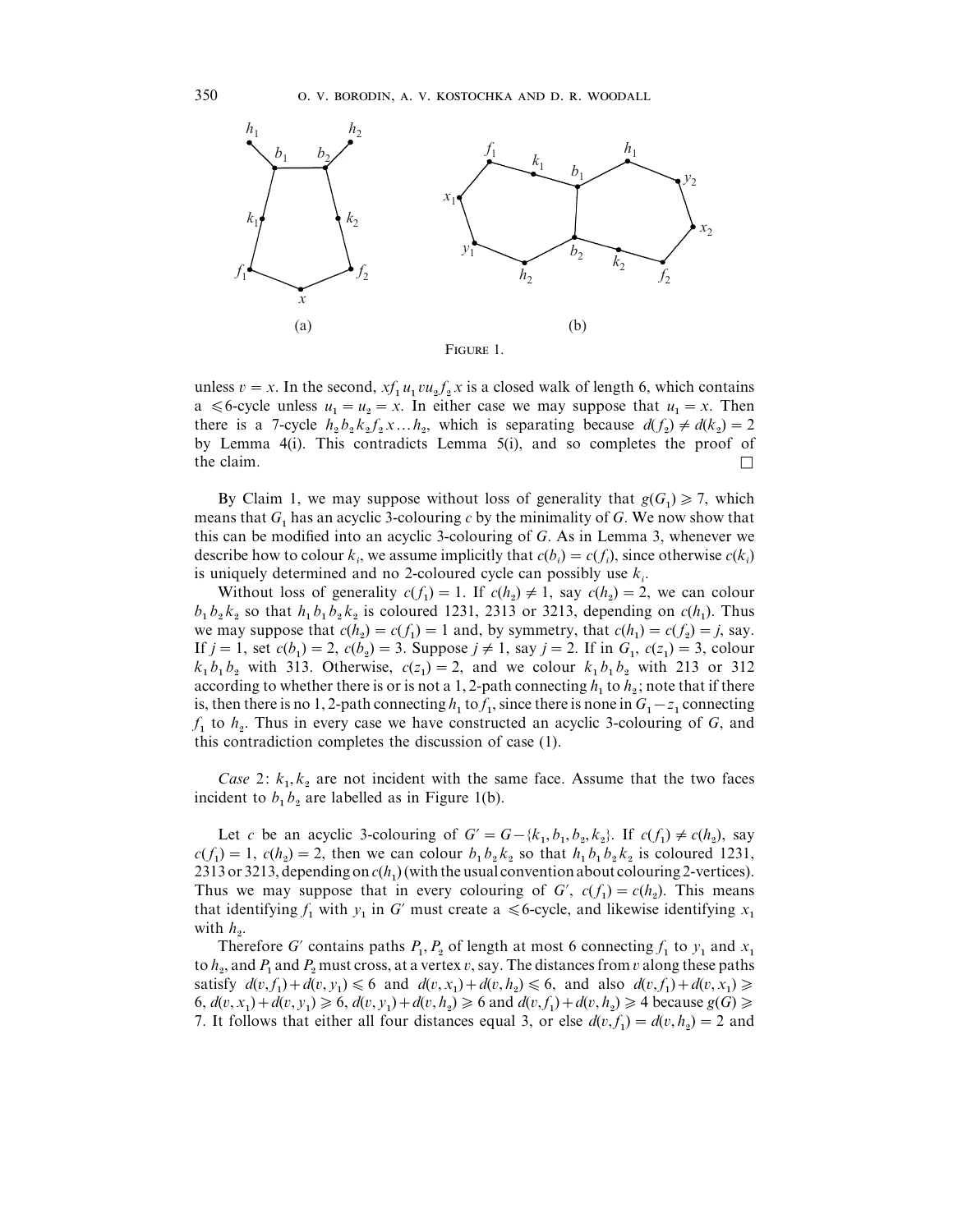

unless  $v = x$ . In the second,  $xf_1u_1vu_2f_2x$  is a closed walk of length 6, which contains a  $\leq 6$ -cycle unless  $u_1 = u_2 = x$ . In either case we may suppose that  $u_1 = x$ . Then there is a 7-cycle  $h_2 h_2 k_2 f_2 x ... h_2$ , which is separating because  $d(f_2) \neq d(k_2) = 2$  by Lemma 4(i). This contradicts Lemma 5(i), and so completes the proof of the claim.  $\square$ 

By Claim 1, we may suppose without loss of generality that  $g(G_1) \geq 7$ , which means that  $G_1$  has an acyclic 3-colouring *c* by the minimality of *G*. We now show that this can be modified into an acyclic 3-colouring of *G*. As in Lemma 3, whenever we describe how to colour  $k_i$ , we assume implicitly that  $c(b_i) = c(f_i)$ , since otherwise  $c(k_i)$ is uniquely determined and no 2-coloured cycle can possibly use  $k_i$ .

Without loss of generality  $c(f_1) = 1$ . If  $c(h_2) \neq 1$ , say  $c(h_2) = 2$ , we can colour  $b_1 b_2 k_2$  so that  $h_1 b_1 b_2 k_2$  is coloured 1231, 2313 or 3213, depending on  $c(h_1)$ . Thus we may suppose that  $c(h_2) = c(f_1) = 1$  and, by symmetry, that  $c(h_1) = c(f_2) = j$ , say. If  $j = 1$ , set  $c(b_1) = 2$ ,  $c(b_2) = 3$ . Suppose  $j \neq 1$ , say  $j = 2$ . If in  $G_1$ ,  $c(z_1) = 3$ , colour  $k_1 b_1 b_2$  with 313. Otherwise,  $c(z_1) = 2$ , and we colour  $k_1 b_1 b_2$  with 213 or 312 according to whether there is or is not a 1, 2-path connecting  $h_1$  to  $h_2$ ; note that if there is, then there is no 1, 2-path connecting  $h_1$  to  $f_1$ , since there is none in  $G_1 - z_1$  connecting  $f_1$  to  $h_2$ . Thus in every case we have constructed an acyclic 3-colouring of *G*, and this contradiction completes the discussion of case (1).

*Case* 2:  $k_1, k_2$  are not incident with the same face. Assume that the two faces incident to  $b_1 b_2$  are labelled as in Figure 1(b).

Let *c* be an acyclic 3-colouring of  $G' = G - \{k_1, b_1, b_2, k_2\}$ . If  $c(f_1) \neq c(h_2)$ , say  $c(f_1) = 1$ ,  $c(h_2) = 2$ , then we can colour  $b_1 b_2 k_2$  so that  $h_1 b_1 b_2 k_2$  is coloured 1231, 2313 or 3213, depending on  $c(h_1)$  (with the usual convention about colouring 2-vertices). Thus we may suppose that in every colouring of *G'*,  $c(f_1) = c(h_2)$ . This means that identifying  $f_1$  with  $y_1$  in *G*<sup> $\prime$ </sup> must create a  $\leq$  6-cycle, and likewise identifying  $x_1$  with  $h_2$ .  $\overline{2}$ .

Therefore *G*<sup> $\prime$ </sup> contains paths  $P_1$ ,  $P_2$  of length at most 6 connecting  $f_1$  to  $y_1$ Therefore *G'* contains paths  $P_1$ ,  $P_2$  of length at most 6 connecting  $f_1$  to  $y_1$  and  $x_1$  to  $h_2$ , and  $P_1$  and  $P_2$  must cross, at a vertex  $v$ , say. The distances from  $v$  along these paths satisfy  $d(v, f_1) + d(v, y_1) \le 6$  and  $d(v, x_1) + d(v, h_2) \le 6$ , and also  $d(v, f_1) + d(v, x_1) \ge 6$  $6, d(v, x_1) + d(v, y_1) \ge 6, d(v, y_1) + d(v, h_2) \ge 6$  and  $d(v, f_1) + d(v, h_2) \ge 4$  because  $g(G) \ge 6$ 7. It follows that either all four distances equal 3, or else  $d(v, f_1) = d(v, h_2) = 2$  and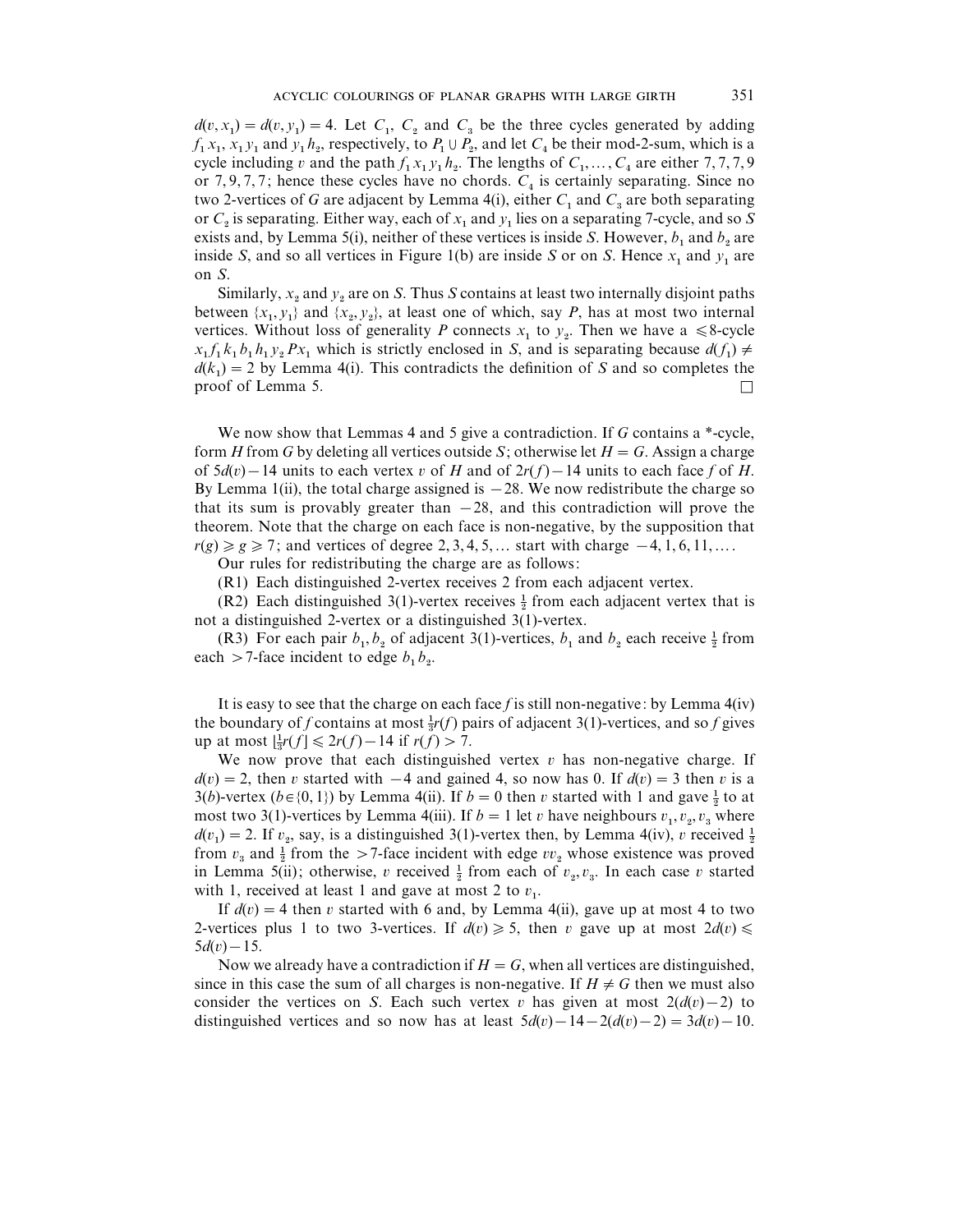$d(v, x_1) = d(v, y_1) = 4$ . Let  $C_1$ ,  $C_2$  and  $C_3$  be the three cycles generated by adding  $f_1 x_1, x_1 y_1$  and  $y_1 h_2$ , respectively, to  $P_1 \cup P_2$ , and let  $C_4$  be their mod-2-sum, which is a cycle including v and the path  $f_1 x_1 y_1 h_2$ . The lengths of  $C_1, \ldots, C_4$  are either 7, 7, 7, 9 or 7, 9, 7, 7; hence these cycles have no chords.  $C_4$  is certainly separating. Since no two 2-vertices of *G* are adjacent by Lemma 4(i), either  $C_1$  and  $C_3$  are both separating or  $C_2$  is separating. Either way, each of  $x_1$  and  $y_1$  lies on a separating 7-cycle, and so *S* exists and, by Lemma 5(i), neither of these vertices is inside *S*. However,  $b_1$  and  $b_2$  are inside *S*, and so all vertices in Figure 1(b) are inside *S* or on *S*. Hence  $x_1$  and  $y_1$  are on *S*.

Similarly,  $x_2$  and  $y_2$  are on *S*. Thus *S* contains at least two internally disjoint paths between  $\{x_1, y_1\}$  and  $\{x_2, y_2\}$ , at least one of which, say *P*, has at most two internal vertices. Without loss of generality *P* connects  $x_1$  to  $y_2$ . Then we have a  $\leq 8$ -cycle  $x_1 f_1 k_1 b_1 h_1 y_2 P x_1$  which is strictly enclosed in *S*, and is separating because  $d(f_1) \neq$  $d(k_1) = 2$  by Lemma 4(i). This contradicts the definition of *S* and so completes the proof of Lemma 5.  $\Box$ 

We now show that Lemmas 4 and 5 give a contradiction. If *G* contains a \*-cycle, form *H* from *G* by deleting all vertices outside *S*; otherwise let  $H = G$ . Assign a charge of  $5d(v) - 14$  units to each vertex v of *H* and of  $2r(f) - 14$  units to each face *f* of *H*. By Lemma 1(ii), the total charge assigned is  $-28$ . We now redistribute the charge so that its sum is provably greater than  $-28$ , and this contradiction will prove the theorem. Note that the charge on each face is non-negative, by the supposition that  $r(g) \ge g \ge 7$ ; and vertices of degree 2, 3, 4, 5, ... start with charge  $-4, 1, 6, 11, \ldots$ .

Our rules for redistributing the charge are as follows:

(R1) Each distinguished 2-vertex receives 2 from each adjacent vertex.

(R1) Each distinguished 2-vertex receives 2 from each adjacent vertex.<br>(R2) Each distinguished 3(1)-vertex receives  $\frac{1}{2}$  from each adjacent vertex that is not a distinguished 2-vertex or a distinguished 3(1)-vertex.

(R3) For each pair  $b_1, b_2$  of adjacent 3(1)-vertices,  $b_1$  and  $b_2$  each receive  $\frac{1}{2}$  from each  $>$  7-face incident to edge  $b_1 b_2$ .

It is easy to see that the charge on each face *f* is still non-negative: by Lemma 4(iv) It is easy to see that the charge on each race *f* is sun non-negative: by Lemma  $4(y)$  the boundary of *f* contains at most  $\frac{1}{3}r(f)$  pairs of adjacent 3(1)-vertices, and so *f* gives the boundary of f contains at most  $\frac{3r}{3}r(f)$  p.<br>up at most  $\frac{1}{3}r(f) \le 2r(f) - 14$  if  $r(f) > 7$ .

We now prove that each distinguished vertex  $v$  has non-negative charge. If  $d(v) = 2$ , then v started with  $-4$  and gained 4, so now has 0. If  $d(v) = 3$  then v is a  $a(v) = z$ , then *v* started with  $-4$  and gamed 4, so now has 0. If  $a(v) = 3$  then *v* is a 3(*b*)-vertex (*b*∈{0, 1}) by Lemma 4(ii). If *b* = 0 then *v* started with 1 and gave  $\frac{1}{2}$  to at most two 3(1)-vertices by Lemma 4(iii). If  $b = 1$  let  $v$  have neighbours  $v_1, v_2, v_3$  where *d*( $v_1$ ) = 2. If  $v_2$ , say, is a distinguished 3(1)-vertex then, by Lemma 4(iv),  $v$  received  $\frac{1}{2}$  $f(x_1) = 2$ . If  $v_2$ , say, is a distinguished  $3(1)$ -vertex then, by Lemma 4(iv),  $v_1$  received  $\frac{1}{2}$  from  $v_3$  and  $\frac{1}{2}$  from the  $> 7$ -face incident with edge  $vv_2$  whose existence was proved From  $v_3$  and  $\frac{1}{2}$  from the  $> t$ -lace incident with edge  $vv_2$  whose existence was proved<br>in Lemma 5(ii); otherwise, v received  $\frac{1}{2}$  from each of  $v_2, v_3$ . In each case v started with 1, received at least 1 and gave at most 2 to  $v_1$ .

If  $d(v) = 4$  then v started with 6 and, by Lemma 4(ii), gave up at most 4 to two 2-vertices plus 1 to two 3-vertices. If  $d(v) \ge 5$ , then v gave up at most  $2d(v) \le$  $5d(v) - 15.$ 

Now we already have a contradiction if  $H = G$ , when all vertices are distinguished, since in this case the sum of all charges is non-negative. If  $H \neq G$  then we must also consider the vertices on *S*. Each such vertex v has given at most  $2(d(v)-2)$  to distinguished vertices and so now has at least  $5d(v) - 14 - 2(d(v) - 2) = 3d(v) - 10$ .